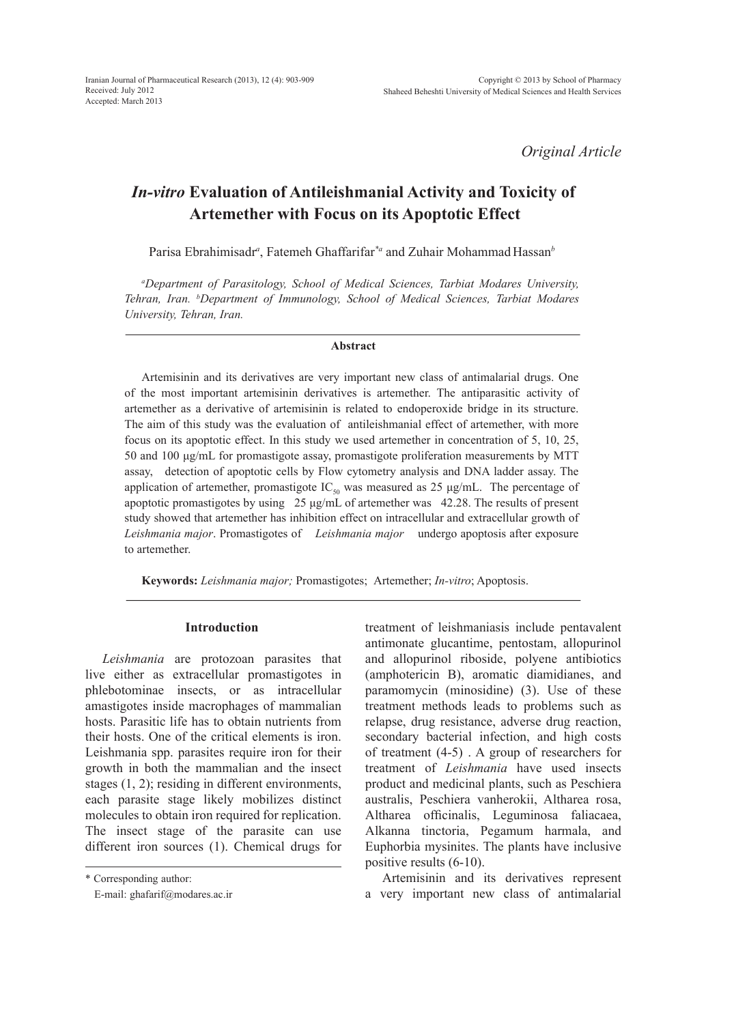*Original Article*

# *In-vitro* **Evaluation of Antileishmanial Activity and Toxicity of Artemether with Focus on its Apoptotic Effect**

Parisa Ebrahimisadr*<sup>a</sup>* , Fatemeh Ghaffarifar*\*a* and Zuhair Mohammad Hassan*<sup>b</sup>*

*a Department of Parasitology, School of Medical Sciences, Tarbiat Modares University, Tehran, Iran. b Department of Immunology, School of Medical Sciences, Tarbiat Modares University, Tehran, Iran.*

## **Abstract**

Artemisinin and its derivatives are very important new class of antimalarial drugs. One of the most important artemisinin derivatives is artemether. The antiparasitic activity of artemether as a derivative of artemisinin is related to endoperoxide bridge in its structure. The aim of this study was the evaluation of antileishmanial effect of artemether, with more focus on its apoptotic effect. In this study we used artemether in concentration of 5, 10, 25, 50 and 100 μg/mL for promastigote assay, promastigote proliferation measurements by MTT assay, detection of apoptotic cells by Flow cytometry analysis and DNA ladder assay. The application of artemether, promastigote  $IC_{50}$  was measured as 25 μg/mL. The percentage of apoptotic promastigotes by using 25 μg/mL of artemether was 42.28. The results of present study showed that artemether has inhibition effect on intracellular and extracellular growth of *Leishmania major*. Promastigotes of *Leishmania major* undergo apoptosis after exposure to artemether.

**Keywords:** *Leishmania major;* Promastigotes;Artemether; *In-vitro*; Apoptosis.

#### **Introduction**

*Leishmania* are protozoan parasites that live either as extracellular promastigotes in phlebotominae insects, or as intracellular amastigotes inside macrophages of mammalian hosts. Parasitic life has to obtain nutrients from their hosts. One of the critical elements is iron. Leishmania spp. parasites require iron for their growth in both the mammalian and the insect stages (1, 2); residing in different environments, each parasite stage likely mobilizes distinct molecules to obtain iron required for replication. The insect stage of the parasite can use different iron sources (1). Chemical drugs for

\* Corresponding author:

E-mail: ghafarif@modares.ac.ir

treatment of leishmaniasis include pentavalent antimonate glucantime, pentostam, allopurinol and allopurinol riboside, polyene antibiotics (amphotericin B), aromatic diamidianes, and paramomycin (minosidine) (3). Use of these treatment methods leads to problems such as relapse, drug resistance, adverse drug reaction, secondary bacterial infection, and high costs of treatment (4-5) . A group of researchers for treatment of *Leishmania* have used insects product and medicinal plants, such as Peschiera australis, Peschiera vanherokii, Altharea rosa, Altharea officinalis, Leguminosa faliacaea, Alkanna tinctoria, Pegamum harmala, and Euphorbia mysinites. The plants have inclusive positive results (6-10).

Artemisinin and its derivatives represent a very important new class of antimalarial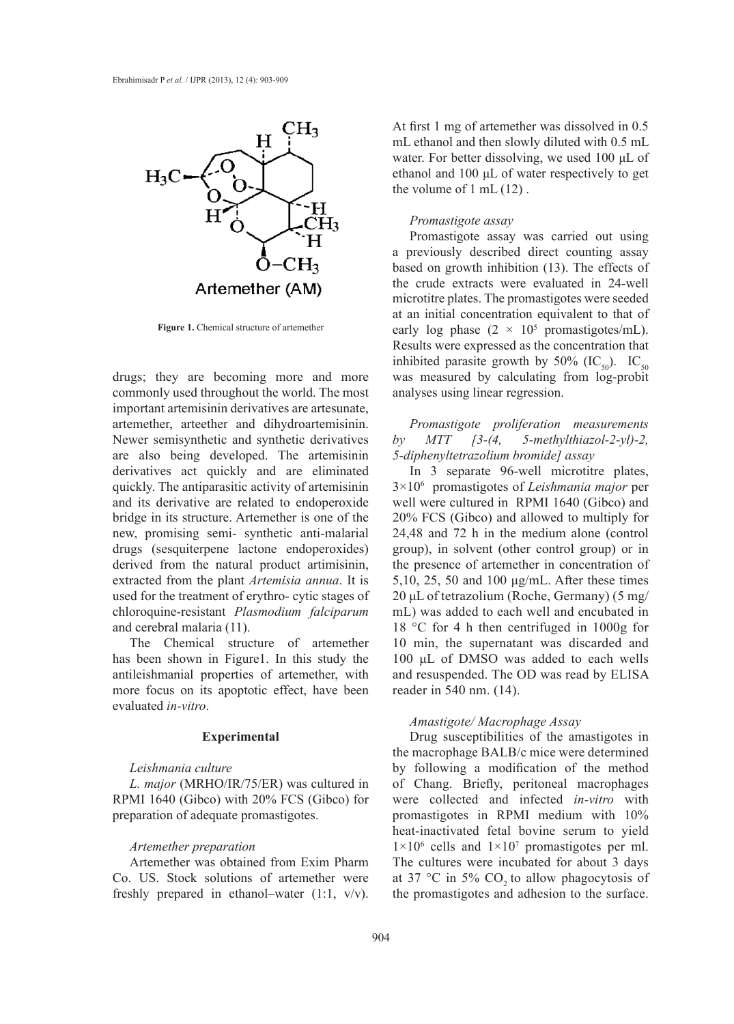

**Figure 1.** Chemical structure of artemether

drugs; they are becoming more and more commonly used throughout the world. The most important artemisinin derivatives are artesunate, artemether, arteether and dihydroartemisinin. Newer semisynthetic and synthetic derivatives are also being developed. The artemisinin derivatives act quickly and are eliminated quickly. The antiparasitic activity of artemisinin and its derivative are related to endoperoxide bridge in its structure. Artemether is one of the new, promising semi- synthetic anti-malarial drugs (sesquiterpene lactone endoperoxides) derived from the natural product artimisinin, extracted from the plant *Artemisia annua*. It is used for the treatment of erythro- cytic stages of chloroquine-resistant *Plasmodium falciparum*  and cerebral malaria (11).

The Chemical structure of artemether has been shown in Figure1. In this study the antileishmanial properties of artemether, with more focus on its apoptotic effect, have been evaluated *in-vitro*.

## **Experimental**

## *Leishmania culture*

*L. major* (MRHO/IR/75/ER) was cultured in RPMI 1640 (Gibco) with 20% FCS (Gibco) for preparation of adequate promastigotes.

## *Artemether preparation*

Artemether was obtained from Exim Pharm Co. US. Stock solutions of artemether were freshly prepared in ethanol–water (1:1, v/v). At first 1 mg of artemether was dissolved in 0.5 mL ethanol and then slowly diluted with 0.5 mL water. For better dissolving, we used 100 μL of ethanol and 100 μL of water respectively to get the volume of 1 mL (12) .

## *Promastigote assay*

Promastigote assay was carried out using a previously described direct counting assay based on growth inhibition (13). The effects of the crude extracts were evaluated in 24-well microtitre plates. The promastigotes were seeded at an initial concentration equivalent to that of early log phase  $(2 \times 10^5 \text{ promastigotes/mL}).$ Results were expressed as the concentration that inhibited parasite growth by 50% (IC<sub>50</sub>). IC<sub>50</sub> was measured by calculating from log-probit analyses using linear regression.

*Promastigote proliferation measurements by MTT [3-(4, 5-methylthiazol-2-yl)-2, 5-diphenyltetrazolium bromide] assay*

In 3 separate 96-well microtitre plates, 3×106 promastigotes of *Leishmania major* per well were cultured in RPMI 1640 (Gibco) and 20% FCS (Gibco) and allowed to multiply for 24,48 and 72 h in the medium alone (control group), in solvent (other control group) or in the presence of artemether in concentration of 5,10, 25, 50 and 100 μg/mL. After these times 20 μL of tetrazolium (Roche, Germany) (5 mg/ mL) was added to each well and encubated in 18 °C for 4 h then centrifuged in 1000g for 10 min, the supernatant was discarded and 100 μL of DMSO was added to each wells and resuspended. The OD was read by ELISA reader in 540 nm. (14).

## *Amastigote/ Macrophage Assay*

Drug susceptibilities of the amastigotes in the macrophage BALB/c mice were determined by following a modification of the method of Chang. Briefly, peritoneal macrophages were collected and infected *in-vitro* with promastigotes in RPMI medium with 10% heat-inactivated fetal bovine serum to yield  $1\times10^6$  cells and  $1\times10^7$  promastigotes per ml. The cultures were incubated for about 3 days at 37  $\degree$ C in 5% CO<sub>2</sub> to allow phagocytosis of the promastigotes and adhesion to the surface.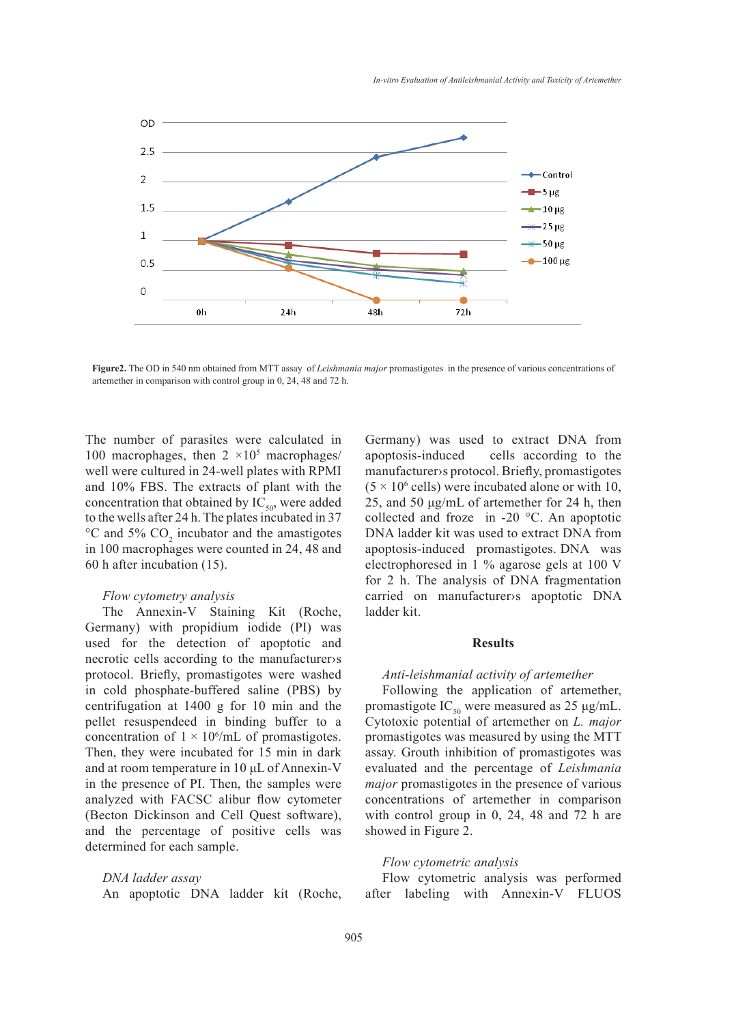

**Figure2.** The OD in 540 nm obtained from MTT assay of *Leishmania major* promastigotes in the presence of various concentrations of artemether in comparison with control group in 0, 24, 48 and 72 h.

The number of parasites were calculated in 100 macrophages, then  $2 \times 10^5$  macrophages/ well were cultured in 24-well plates with RPMI and 10% FBS. The extracts of plant with the concentration that obtained by  $IC_{50}$ , were added to the wells after 24 h. The plates incubated in 37  $\rm{^{\circ}C}$  and 5%  $\rm{CO}_{2}$  incubator and the amastigotes in 100 macrophages were counted in 24, 48 and 60 h after incubation (15).

## *Flow cytometry analysis*

The Annexin-V Staining Kit (Roche, Germany) with propidium iodide (PI) was used for the detection of apoptotic and necrotic cells according to the manufacturer›s protocol. Briefly, promastigotes were washed in cold phosphate-buffered saline (PBS) by centrifugation at 1400 g for 10 min and the pellet resuspendeed in binding buffer to a concentration of  $1 \times 10^6$ /mL of promastigotes. Then, they were incubated for 15 min in dark and at room temperature in 10 μL of Annexin-V in the presence of PI. Then, the samples were analyzed with FACSC alibur flow cytometer (Becton Dickinson and Cell Quest software), and the percentage of positive cells was determined for each sample.

*DNA ladder assay* 

An apoptotic DNA ladder kit (Roche,

Germany) was used to extract DNA from apoptosis-induced cells according to the manufacturer›s protocol. Briefly, promastigotes  $(5 \times 10^6 \text{ cells})$  were incubated alone or with 10, 25, and 50 μg/mL of artemether for 24 h, then collected and froze in -20 °C. An apoptotic DNA ladder kit was used to extract DNA from apoptosis-induced promastigotes. DNA was electrophoresed in 1 % agarose gels at 100 V for 2 h. The analysis of DNA fragmentation carried on manufacturer›s apoptotic DNA ladder kit.

## **Results**

#### *Anti-leishmanial activity of artemether*

Following the application of artemether, promastigote IC<sub>50</sub> were measured as 25 μg/mL. Cytotoxic potential of artemether on *L. major*  promastigotes was measured by using the MTT assay. Grouth inhibition of promastigotes was evaluated and the percentage of *Leishmania major* promastigotes in the presence of various concentrations of artemether in comparison with control group in 0, 24, 48 and 72 h are showed in Figure 2.

#### *Flow cytometric analysis*

Flow cytometric analysis was performed after labeling with Annexin-V FLUOS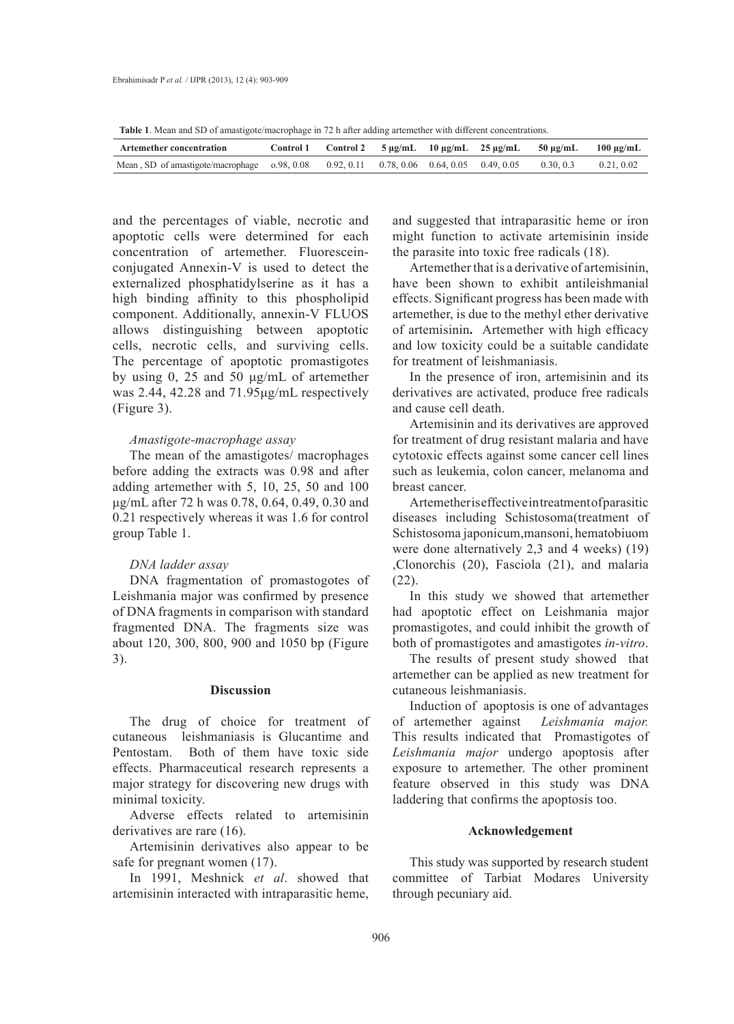**Table 1**. Mean and SD of amastigote/macrophage in 72 h after adding artemether with different concentrations.

| <b>Artemether concentration</b>                                                                               |  |  | Control 1 Control 2 $5 \mu g/mL$ 10 $\mu g/mL$ 25 $\mu g/mL$ 50 $\mu g/mL$ 100 $\mu g/mL$ |  |
|---------------------------------------------------------------------------------------------------------------|--|--|-------------------------------------------------------------------------------------------|--|
| Mean, SD of amastigote/macrophage 0.98, 0.08 0.92, 0.11 0.78, 0.06 0.64, 0.05 0.49, 0.05 0.30, 0.3 0.21, 0.02 |  |  |                                                                                           |  |

and the percentages of viable, necrotic and apoptotic cells were determined for each concentration of artemether. Fluoresceinconjugated Annexin-V is used to detect the externalized phosphatidylserine as it has a high binding affinity to this phospholipid component. Additionally, annexin-V FLUOS allows distinguishing between apoptotic cells, necrotic cells, and surviving cells. The percentage of apoptotic promastigotes by using 0, 25 and 50 μg/mL of artemether was 2.44, 42.28 and 71.95μg/mL respectively (Figure 3).

## *Amastigote-macrophage assay*

The mean of the amastigotes/ macrophages before adding the extracts was 0.98 and after adding artemether with 5, 10, 25, 50 and 100 μg/mL after 72 h was 0.78, 0.64, 0.49, 0.30 and 0.21 respectively whereas it was 1.6 for control group Table 1.

## *DNA ladder assay*

DNA fragmentation of promastogotes of Leishmania major was confirmed by presence of DNA fragments in comparison with standard fragmented DNA. The fragments size was about 120, 300, 800, 900 and 1050 bp (Figure 3).

## **Discussion**

The drug of choice for treatment of cutaneous leishmaniasis is Glucantime and Pentostam. Both of them have toxic side effects. Pharmaceutical research represents a major strategy for discovering new drugs with minimal toxicity.

Adverse effects related to artemisinin derivatives are rare (16).

Artemisinin derivatives also appear to be safe for pregnant women (17).

In 1991, Meshnick *et al*. showed that artemisinin interacted with intraparasitic heme, and suggested that intraparasitic heme or iron might function to activate artemisinin inside the parasite into toxic free radicals (18).

Artemether that is a derivative of artemisinin, have been shown to exhibit antileishmanial effects. Significant progress has been made with artemether, is due to the methyl ether derivative of artemisinin**.** Artemether with high efficacy and low toxicity could be a suitable candidate for treatment of leishmaniasis.

In the presence of iron, artemisinin and its derivatives are activated, produce free radicals and cause cell death.

Artemisinin and its derivatives are approved for treatment of drug resistant malaria and have cytotoxic effects against some cancer cell lines such as leukemia, colon cancer, melanoma and breast cancer.

Artemether is effective in treatment of parasitic diseases including Schistosoma(treatment of Schistosoma japonicum,mansoni, hematobiuom were done alternatively 2,3 and 4 weeks) (19) ,Clonorchis (20), Fasciola (21), and malaria  $(22)$ .

In this study we showed that artemether had apoptotic effect on Leishmania major promastigotes, and could inhibit the growth of both of promastigotes and amastigotes *in-vitro*.

The results of present study showed that artemether can be applied as new treatment for cutaneous leishmaniasis.

Induction of apoptosis is one of advantages of artemether against *Leishmania major.*  This results indicated thatPromastigotes of *Leishmania major* undergo apoptosis after exposure to artemether. The other prominent feature observed in this study was DNA laddering that confirms the apoptosis too.

## **Acknowledgement**

This study was supported by research student committee of Tarbiat Modares University through pecuniary aid.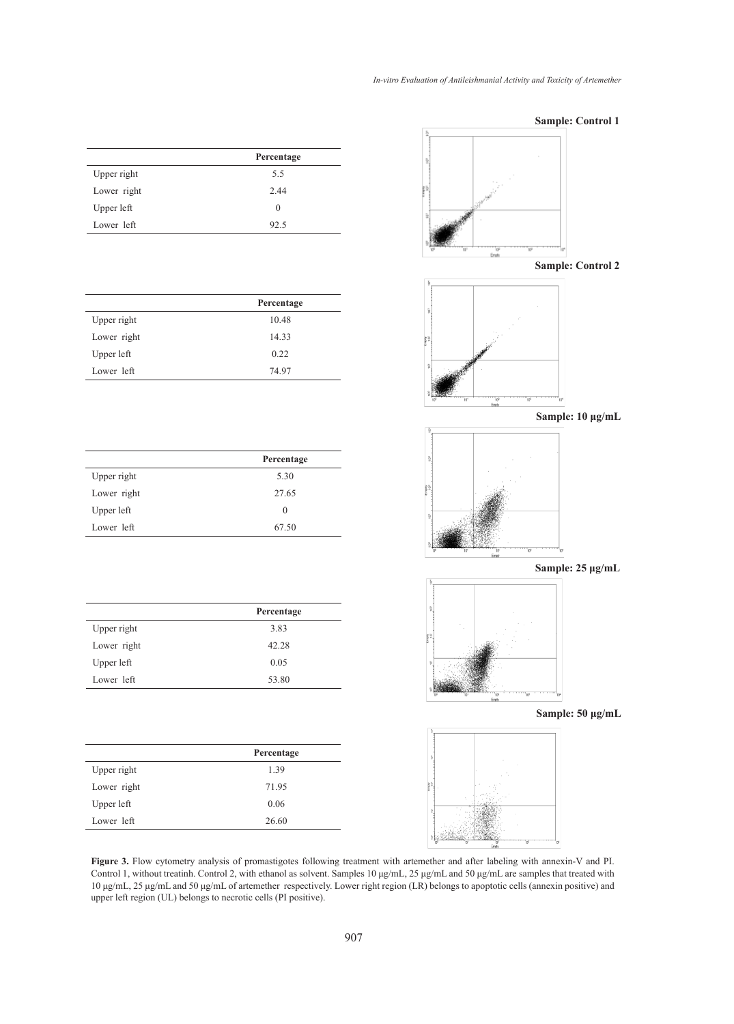| In-vitro Evaluation of Antileishmanial Activity and Toxicity of Artemether |  |
|----------------------------------------------------------------------------|--|
|----------------------------------------------------------------------------|--|

|             | Percentage |
|-------------|------------|
| Upper right | 5.5        |
| Lower right | 2.44       |
| Upper left  | $\theta$   |
| Lower left  | 92.5       |

|             | Percentage |
|-------------|------------|
| Upper right | 10.48      |
| Lower right | 14.33      |
| Upper left  | 0.22       |
| Lower left  | 74.97      |

|             | Percentage |
|-------------|------------|
| Upper right | 5.30       |
| Lower right | 27.65      |
| Upper left  | $\Omega$   |
| Lower left  | 67.50      |

|             | Percentage |
|-------------|------------|
| Upper right | 3.83       |
| Lower right | 42.28      |
| Upper left  | 0.05       |
| Lower left  | 53.80      |

|             | Percentage |
|-------------|------------|
| Upper right | 1.39       |
| Lower right | 71.95      |
| Upper left  | 0.06       |
| Lower left  | 26.60      |



**Figure 3.** Flow cytometry analysis of promastigotes following treatment with artemether and after labeling with annexin-V and PI. Control 1, without treatinh. Control 2, with ethanol as solvent. Samples 10 μg/mL, 25 μg/mL and 50 μg/mL are samples that treated with 10 μg/mL, 25 μg/mL and 50 μg/mL of artemether respectively. Lower right region (LR) belongs to apoptotic cells (annexin positive) and upper left region (UL) belongs to necrotic cells (PI positive).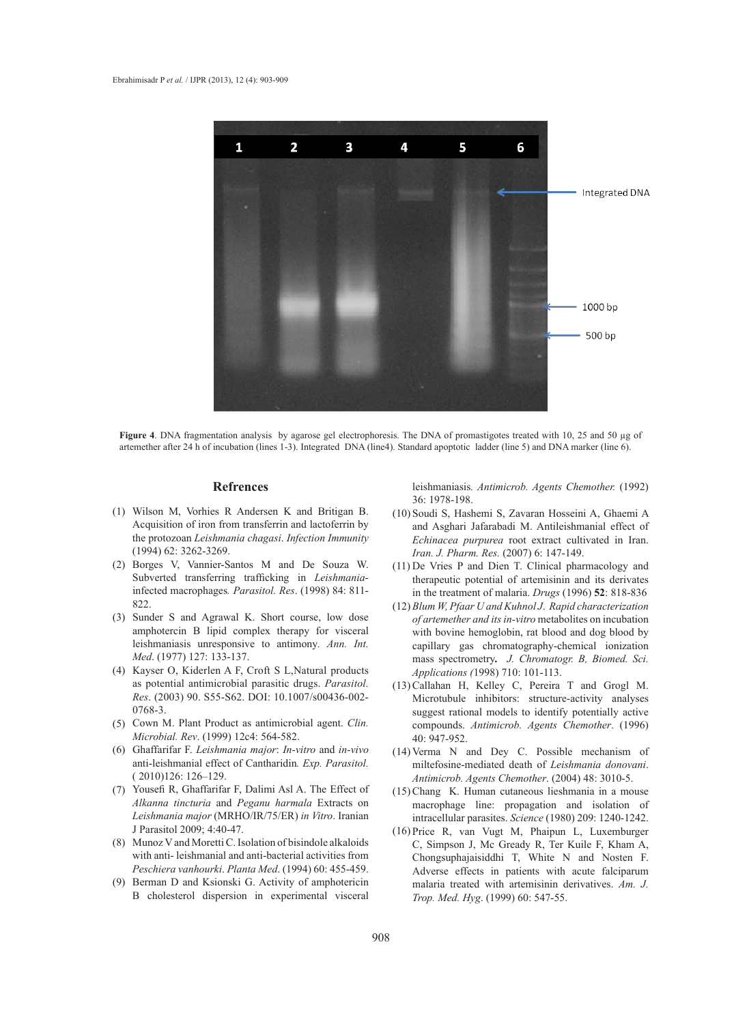

**Figure 4**. DNA fragmentation analysis by agarose gel electrophoresis. The DNA of promastigotes treated with 10, 25 and 50 µg of artemether after 24 h of incubation (lines 1-3). Integrated DNA (line4). Standard apoptotic ladder (line 5) and DNA marker (line 6).

#### **Refrences**

- Wilson M, Vorhies R Andersen K and Britigan B. (1) Acquisition of iron from transferrin and lactoferrin by the protozoan *Leishmania chagasi*. *Infection Immunity* (1994) 62: 3262-3269.
- Borges V, Vannier-Santos M and De Souza W. (2) Subverted transferring trafficking in *Leishmania*infected macrophages*. Parasitol. Res*. (1998) 84: 811- 822.
- (3) Sunder S and Agrawal K. Short course, low dose amphotercin B lipid complex therapy for visceral leishmaniasis unresponsive to antimony*. Ann. Int. Med*. (1977) 127: 133-137.
- (4) Kayser O, Kiderlen A F, Croft S L, Natural products as potential antimicrobial parasitic drugs. *Parasitol. Res*. (2003) 90. S55-S62. DOI: 10.1007/s00436-002- 0768-3.
- (5) Cown M. Plant Product as antimicrobial agent. *Clin*. *Microbial. Rev*. (1999) 12c4: 564-582.
- Ghaffarifar F. *Leishmania major*: *In-vitro* and *in-vivo* (6) anti-leishmanial effect of Cantharidin*. Exp. Parasitol.* ( 2010)126: 126–129.
- (7) Yousefi R, Ghaffarifar F, Dalimi Asl A. The Effect of *Alkanna tincturia* and *Peganu harmala* Extracts on *Leishmania major* (MRHO/IR/75/ER) *in Vitro*. Iranian J Parasitol 2009; 4:40-47.
- Munoz V and Moretti C. Isolation of bisindole alkaloids (8) with anti- leishmanial and anti-bacterial activities from *Peschiera vanhourki*. *Planta Med*. (1994) 60: 455-459.
- (9) Berman D and Ksionski G. Activity of amphotericin B cholesterol dispersion in experimental visceral

leishmaniasis*. Antimicrob. Agents Chemother.* (1992) 36: 1978-198.

- (10) Soudi S, Hashemi S, Zavaran Hosseini A, Ghaemi A and Asghari Jafarabadi M. Antileishmanial effect of *Echinacea purpurea* root extract cultivated in Iran. *Iran. J. Pharm. Res.* (2007) 6: 147-149.
- $(11)$  De Vries P and Dien T. Clinical pharmacology and therapeutic potential of artemisinin and its derivates in the treatment of malaria. *Drugs* (1996) **52**: 818-836
- *Blum W, Pfaar U and Kuhnol J*. *Rapid characterization*  (12) *of artemether and its in-vitro* metabolites on incubation with bovine hemoglobin, rat blood and dog blood by capillary gas chromatography-chemical ionization mass spectrometry*. J. Chromatogr. B, Biomed. Sci. Applications (*1998) 710: 101-113.
- $(13)$  Callahan H, Kelley C, Pereira T and Grogl M. Microtubule inhibitors: structure-activity analyses suggest rational models to identify potentially active compounds. *Antimicrob. Agents Chemother*. (1996) 40: 947-952.
- $(14)$  Verma N and Dey C. Possible mechanism of miltefosine-mediated death of *Leishmania donovani*. *Antimicrob. Agents Chemother*. (2004) 48: 3010-5.
- Chang K. Human cutaneous lieshmania in a mouse (15) macrophage line: propagation and isolation of intracellular parasites. *Science* (1980) 209: 1240-1242.
- $(16)$  Price R, van Vugt M, Phaipun L, Luxemburger C, Simpson J, Mc Gready R, Ter Kuile F, Kham A, Chongsuphajaisiddhi T, White N and Nosten F. Adverse effects in patients with acute falciparum malaria treated with artemisinin derivatives. *Am. J. Trop. Med. Hyg*. (1999) 60: 547-55.